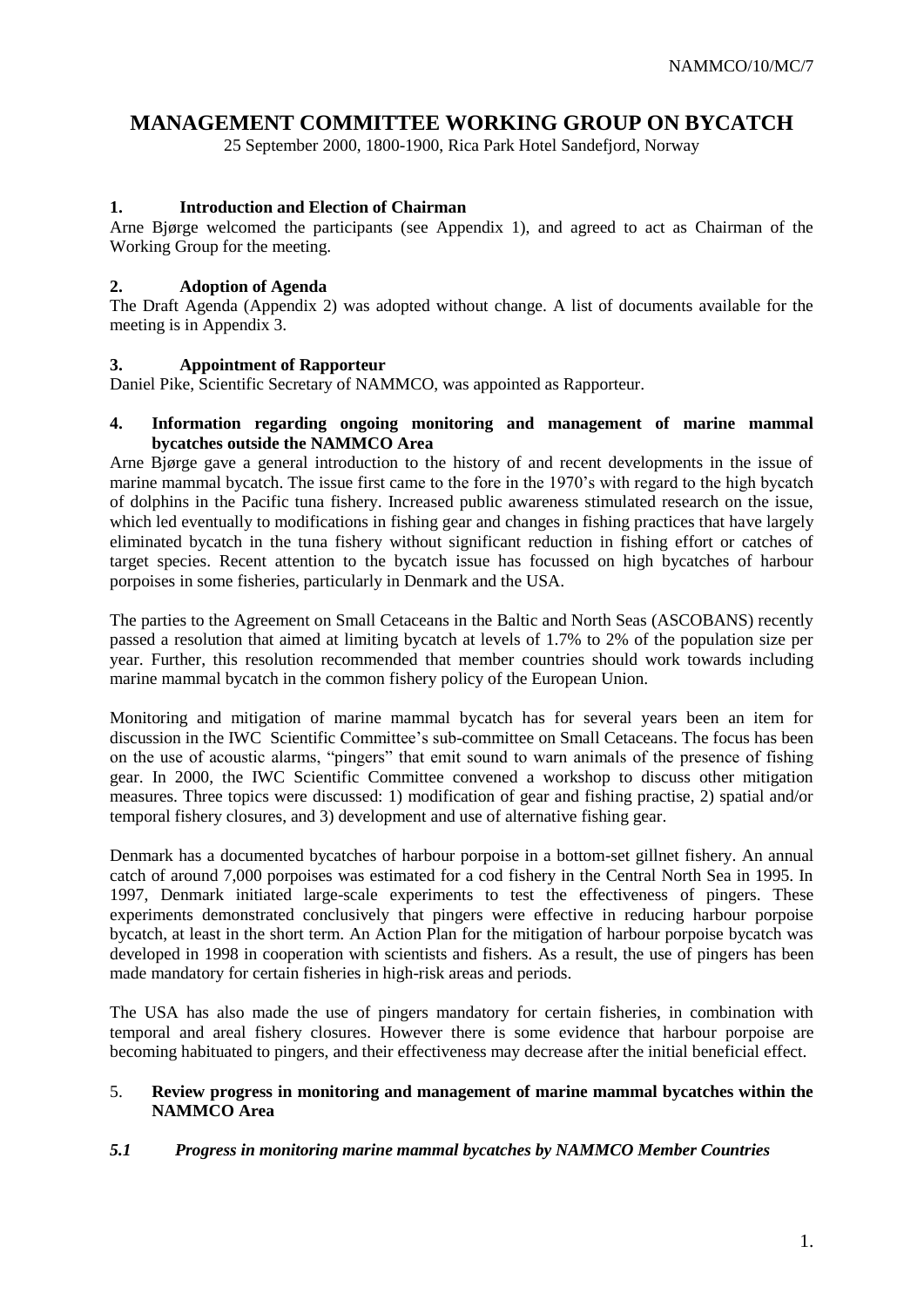### **MANAGEMENT COMMITTEE WORKING GROUP ON BYCATCH**

25 September 2000, 1800-1900, Rica Park Hotel Sandefjord, Norway

### **1. Introduction and Election of Chairman**

Arne Bjørge welcomed the participants (see Appendix 1), and agreed to act as Chairman of the Working Group for the meeting.

### **2. Adoption of Agenda**

The Draft Agenda (Appendix 2) was adopted without change. A list of documents available for the meeting is in Appendix 3.

### **3. Appointment of Rapporteur**

Daniel Pike, Scientific Secretary of NAMMCO, was appointed as Rapporteur.

### **4. Information regarding ongoing monitoring and management of marine mammal bycatches outside the NAMMCO Area**

Arne Bjørge gave a general introduction to the history of and recent developments in the issue of marine mammal bycatch. The issue first came to the fore in the 1970's with regard to the high bycatch of dolphins in the Pacific tuna fishery. Increased public awareness stimulated research on the issue, which led eventually to modifications in fishing gear and changes in fishing practices that have largely eliminated bycatch in the tuna fishery without significant reduction in fishing effort or catches of target species. Recent attention to the bycatch issue has focussed on high bycatches of harbour porpoises in some fisheries, particularly in Denmark and the USA.

The parties to the Agreement on Small Cetaceans in the Baltic and North Seas (ASCOBANS) recently passed a resolution that aimed at limiting bycatch at levels of 1.7% to 2% of the population size per year. Further, this resolution recommended that member countries should work towards including marine mammal bycatch in the common fishery policy of the European Union.

Monitoring and mitigation of marine mammal bycatch has for several years been an item for discussion in the IWC Scientific Committee's sub-committee on Small Cetaceans. The focus has been on the use of acoustic alarms, "pingers" that emit sound to warn animals of the presence of fishing gear. In 2000, the IWC Scientific Committee convened a workshop to discuss other mitigation measures. Three topics were discussed: 1) modification of gear and fishing practise, 2) spatial and/or temporal fishery closures, and 3) development and use of alternative fishing gear.

Denmark has a documented bycatches of harbour porpoise in a bottom-set gillnet fishery. An annual catch of around 7,000 porpoises was estimated for a cod fishery in the Central North Sea in 1995. In 1997, Denmark initiated large-scale experiments to test the effectiveness of pingers. These experiments demonstrated conclusively that pingers were effective in reducing harbour porpoise bycatch, at least in the short term. An Action Plan for the mitigation of harbour porpoise bycatch was developed in 1998 in cooperation with scientists and fishers. As a result, the use of pingers has been made mandatory for certain fisheries in high-risk areas and periods.

The USA has also made the use of pingers mandatory for certain fisheries, in combination with temporal and areal fishery closures. However there is some evidence that harbour porpoise are becoming habituated to pingers, and their effectiveness may decrease after the initial beneficial effect.

### 5. **Review progress in monitoring and management of marine mammal bycatches within the NAMMCO Area**

### *5.1**Progress in monitoring marine mammal bycatches by NAMMCO Member Countries*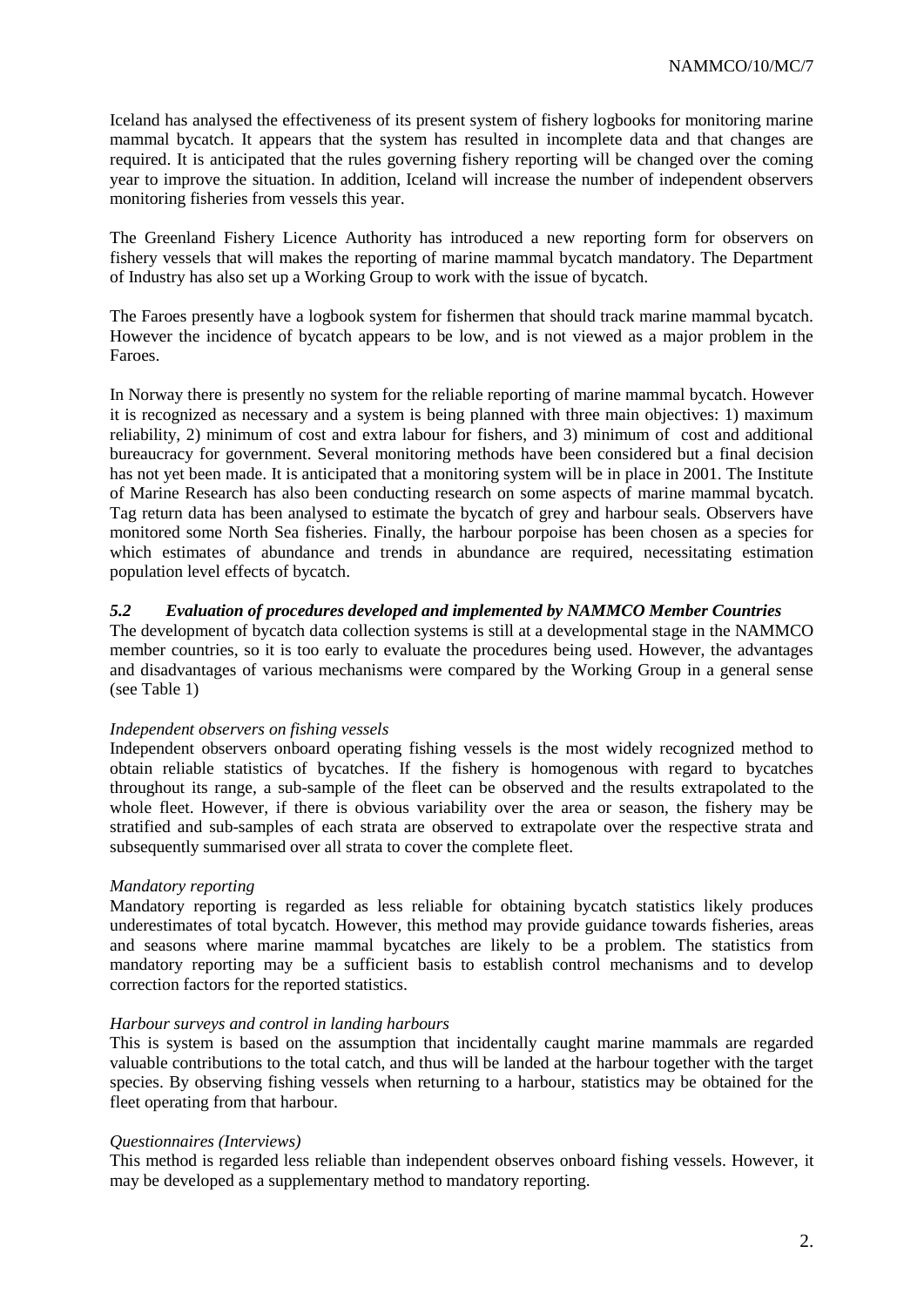Iceland has analysed the effectiveness of its present system of fishery logbooks for monitoring marine mammal bycatch. It appears that the system has resulted in incomplete data and that changes are required. It is anticipated that the rules governing fishery reporting will be changed over the coming year to improve the situation. In addition, Iceland will increase the number of independent observers monitoring fisheries from vessels this year.

The Greenland Fishery Licence Authority has introduced a new reporting form for observers on fishery vessels that will makes the reporting of marine mammal bycatch mandatory. The Department of Industry has also set up a Working Group to work with the issue of bycatch.

The Faroes presently have a logbook system for fishermen that should track marine mammal bycatch. However the incidence of bycatch appears to be low, and is not viewed as a major problem in the Faroes.

In Norway there is presently no system for the reliable reporting of marine mammal bycatch. However it is recognized as necessary and a system is being planned with three main objectives: 1) maximum reliability, 2) minimum of cost and extra labour for fishers, and 3) minimum of cost and additional bureaucracy for government. Several monitoring methods have been considered but a final decision has not yet been made. It is anticipated that a monitoring system will be in place in 2001. The Institute of Marine Research has also been conducting research on some aspects of marine mammal bycatch. Tag return data has been analysed to estimate the bycatch of grey and harbour seals. Observers have monitored some North Sea fisheries. Finally, the harbour porpoise has been chosen as a species for which estimates of abundance and trends in abundance are required, necessitating estimation population level effects of bycatch.

### *5.2 Evaluation of procedures developed and implemented by NAMMCO Member Countries*

The development of bycatch data collection systems is still at a developmental stage in the NAMMCO member countries, so it is too early to evaluate the procedures being used. However, the advantages and disadvantages of various mechanisms were compared by the Working Group in a general sense (see Table 1)

### *Independent observers on fishing vessels*

Independent observers onboard operating fishing vessels is the most widely recognized method to obtain reliable statistics of bycatches. If the fishery is homogenous with regard to bycatches throughout its range, a sub-sample of the fleet can be observed and the results extrapolated to the whole fleet. However, if there is obvious variability over the area or season, the fishery may be stratified and sub-samples of each strata are observed to extrapolate over the respective strata and subsequently summarised over all strata to cover the complete fleet.

### *Mandatory reporting*

Mandatory reporting is regarded as less reliable for obtaining bycatch statistics likely produces underestimates of total bycatch. However, this method may provide guidance towards fisheries, areas and seasons where marine mammal bycatches are likely to be a problem. The statistics from mandatory reporting may be a sufficient basis to establish control mechanisms and to develop correction factors for the reported statistics.

### *Harbour surveys and control in landing harbours*

This is system is based on the assumption that incidentally caught marine mammals are regarded valuable contributions to the total catch, and thus will be landed at the harbour together with the target species. By observing fishing vessels when returning to a harbour, statistics may be obtained for the fleet operating from that harbour.

### *Questionnaires (Interviews)*

This method is regarded less reliable than independent observes onboard fishing vessels. However, it may be developed as a supplementary method to mandatory reporting.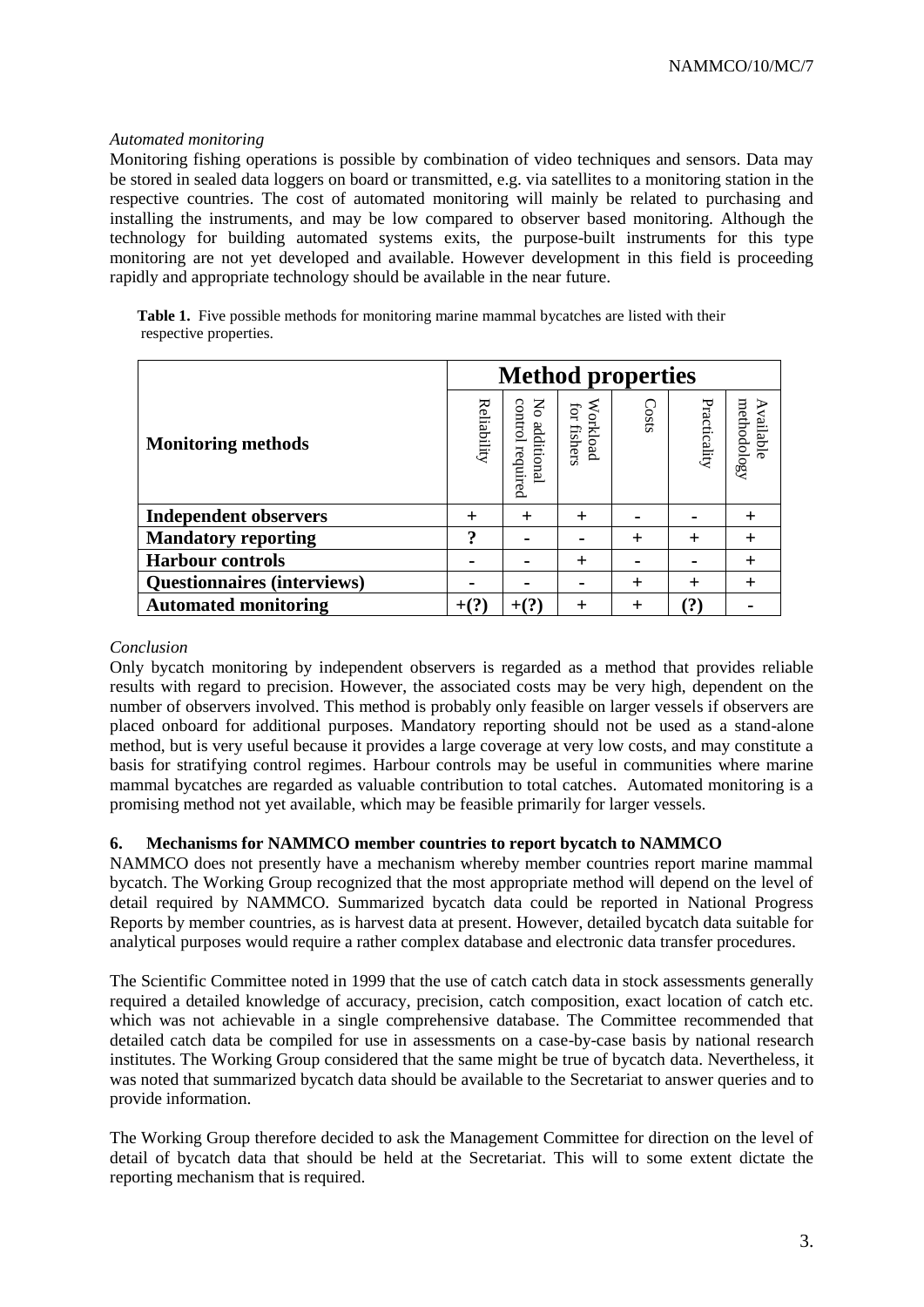### *Automated monitoring*

Monitoring fishing operations is possible by combination of video techniques and sensors. Data may be stored in sealed data loggers on board or transmitted, e.g. via satellites to a monitoring station in the respective countries. The cost of automated monitoring will mainly be related to purchasing and installing the instruments, and may be low compared to observer based monitoring. Although the technology for building automated systems exits, the purpose-built instruments for this type monitoring are not yet developed and available. However development in this field is proceeding rapidly and appropriate technology should be available in the near future.

|                        | Table 1. Five possible methods for monitoring marine mammal bycatches are listed with their |  |
|------------------------|---------------------------------------------------------------------------------------------|--|
| respective properties. |                                                                                             |  |

|                                    | <b>Method properties</b> |                                     |                         |        |              |                          |
|------------------------------------|--------------------------|-------------------------------------|-------------------------|--------|--------------|--------------------------|
| <b>Monitoring methods</b>          | Reliability              | control<br>No additiona<br>required | Workload<br>for fishers | Costs  | Practicality | methodology<br>Available |
| <b>Independent observers</b>       | $^{+}$                   | $\pm$                               | $\div$                  |        |              |                          |
| <b>Mandatory reporting</b>         | າ                        |                                     |                         | $\div$ | $^{+}$       |                          |
| <b>Harbour controls</b>            |                          |                                     | $\pm$                   |        |              |                          |
| <b>Questionnaires (interviews)</b> |                          |                                     |                         | $^{+}$ | $\div$       |                          |
| <b>Automated monitoring</b>        |                          |                                     | $\boldsymbol{+}$        |        | (?           |                          |

### *Conclusion*

Only bycatch monitoring by independent observers is regarded as a method that provides reliable results with regard to precision. However, the associated costs may be very high, dependent on the number of observers involved. This method is probably only feasible on larger vessels if observers are placed onboard for additional purposes. Mandatory reporting should not be used as a stand-alone method, but is very useful because it provides a large coverage at very low costs, and may constitute a basis for stratifying control regimes. Harbour controls may be useful in communities where marine mammal bycatches are regarded as valuable contribution to total catches. Automated monitoring is a promising method not yet available, which may be feasible primarily for larger vessels.

### **6. Mechanisms for NAMMCO member countries to report bycatch to NAMMCO**

NAMMCO does not presently have a mechanism whereby member countries report marine mammal bycatch. The Working Group recognized that the most appropriate method will depend on the level of detail required by NAMMCO. Summarized bycatch data could be reported in National Progress Reports by member countries, as is harvest data at present. However, detailed bycatch data suitable for analytical purposes would require a rather complex database and electronic data transfer procedures.

The Scientific Committee noted in 1999 that the use of catch catch data in stock assessments generally required a detailed knowledge of accuracy, precision, catch composition, exact location of catch etc. which was not achievable in a single comprehensive database. The Committee recommended that detailed catch data be compiled for use in assessments on a case-by-case basis by national research institutes. The Working Group considered that the same might be true of bycatch data. Nevertheless, it was noted that summarized bycatch data should be available to the Secretariat to answer queries and to provide information.

The Working Group therefore decided to ask the Management Committee for direction on the level of detail of bycatch data that should be held at the Secretariat. This will to some extent dictate the reporting mechanism that is required.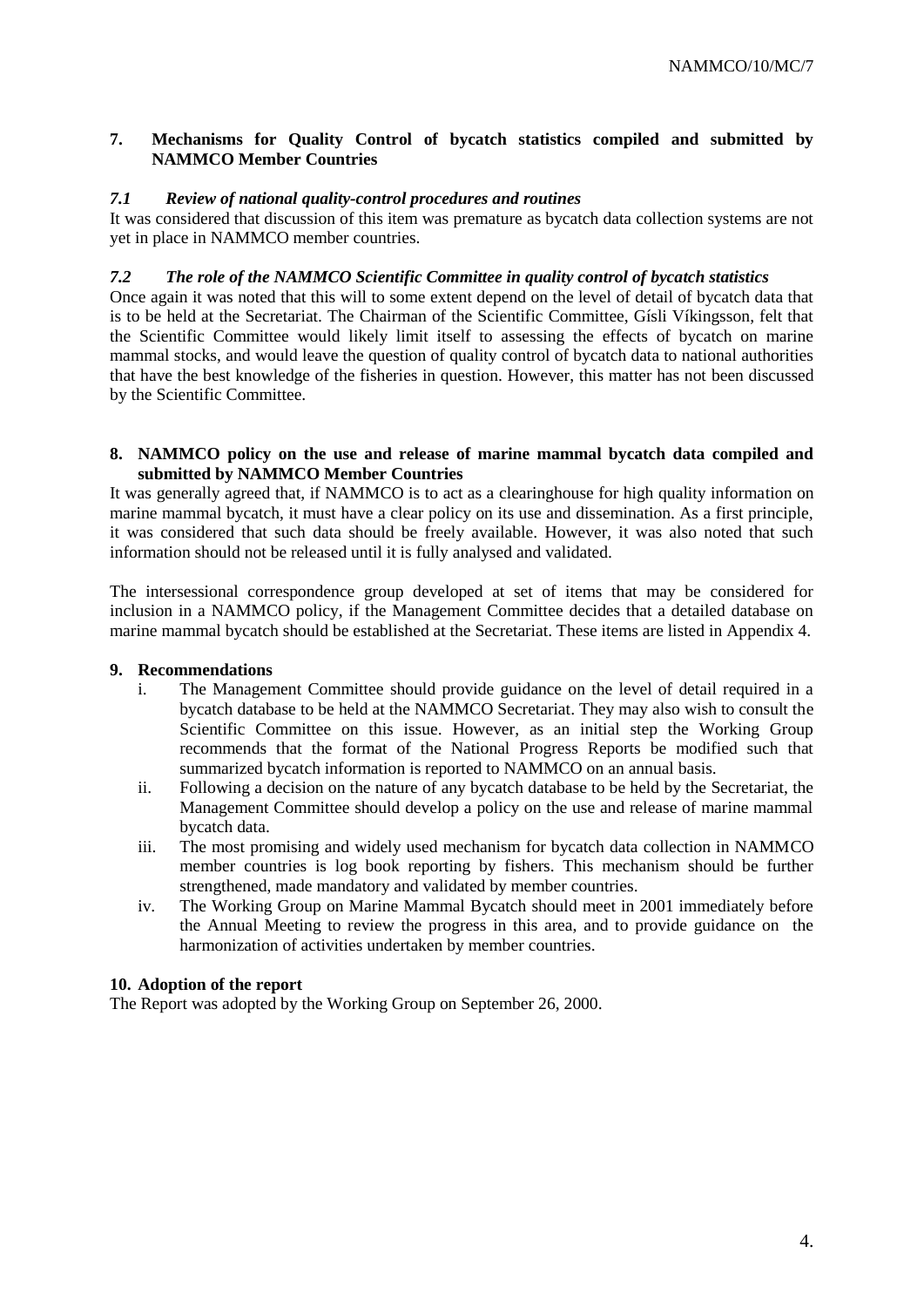### **7. Mechanisms for Quality Control of bycatch statistics compiled and submitted by NAMMCO Member Countries**

### *7.1 Review of national quality-control procedures and routines*

It was considered that discussion of this item was premature as bycatch data collection systems are not yet in place in NAMMCO member countries.

### *7.2 The role of the NAMMCO Scientific Committee in quality control of bycatch statistics*

Once again it was noted that this will to some extent depend on the level of detail of bycatch data that is to be held at the Secretariat. The Chairman of the Scientific Committee, Gísli Víkingsson, felt that the Scientific Committee would likely limit itself to assessing the effects of bycatch on marine mammal stocks, and would leave the question of quality control of bycatch data to national authorities that have the best knowledge of the fisheries in question. However, this matter has not been discussed by the Scientific Committee.

### **8. NAMMCO policy on the use and release of marine mammal bycatch data compiled and submitted by NAMMCO Member Countries**

It was generally agreed that, if NAMMCO is to act as a clearinghouse for high quality information on marine mammal bycatch, it must have a clear policy on its use and dissemination. As a first principle, it was considered that such data should be freely available. However, it was also noted that such information should not be released until it is fully analysed and validated.

The intersessional correspondence group developed at set of items that may be considered for inclusion in a NAMMCO policy, if the Management Committee decides that a detailed database on marine mammal bycatch should be established at the Secretariat. These items are listed in Appendix 4.

### **9. Recommendations**

- i. The Management Committee should provide guidance on the level of detail required in a bycatch database to be held at the NAMMCO Secretariat. They may also wish to consult the Scientific Committee on this issue. However, as an initial step the Working Group recommends that the format of the National Progress Reports be modified such that summarized bycatch information is reported to NAMMCO on an annual basis.
- ii. Following a decision on the nature of any bycatch database to be held by the Secretariat, the Management Committee should develop a policy on the use and release of marine mammal bycatch data.
- iii. The most promising and widely used mechanism for bycatch data collection in NAMMCO member countries is log book reporting by fishers. This mechanism should be further strengthened, made mandatory and validated by member countries.
- iv. The Working Group on Marine Mammal Bycatch should meet in 2001 immediately before the Annual Meeting to review the progress in this area, and to provide guidance on the harmonization of activities undertaken by member countries.

### **10. Adoption of the report**

The Report was adopted by the Working Group on September 26, 2000.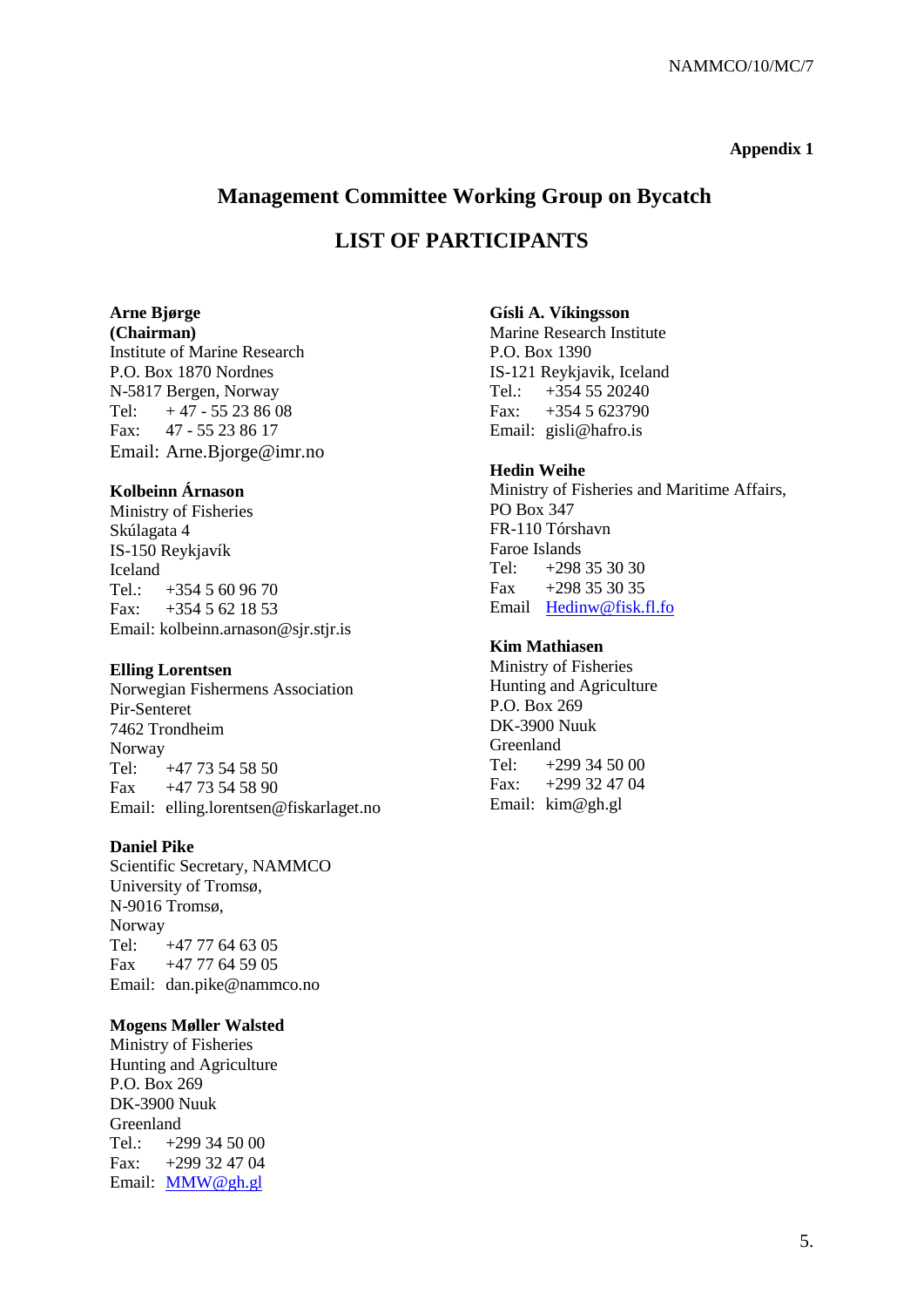### **Appendix 1**

### **Management Committee Working Group on Bycatch**

### **LIST OF PARTICIPANTS**

#### **Arne Bjørge (Chairman)**

Institute of Marine Research P.O. Box 1870 Nordnes N-5817 Bergen, Norway Tel:  $+47 - 55238608$ Fax: 47 - 55 23 86 17 Email: Arne.Bjorge@imr.no

### **Kolbeinn Árnason**

Ministry of Fisheries Skúlagata 4 IS-150 Reykjavík Iceland Tel.:  $+3545609670$ Fax:  $+3545621853$ Email: kolbeinn.arnason@sjr.stjr.is

### **Elling Lorentsen**

Norwegian Fishermens Association Pir-Senteret 7462 Trondheim Norway Tel: +47 73 54 58 50 Fax +47 73 54 58 90 Email: elling.lorentsen@fiskarlaget.no

### **Daniel Pike**

Scientific Secretary, NAMMCO University of Tromsø, N-9016 Tromsø, Norway Tel:  $+47,77,64,63,05$ Fax +47 77 64 59 05 Email: dan.pike@nammco.no

### **Mogens Møller Walsted**

Ministry of Fisheries Hunting and Agriculture P.O. Box 269 DK-3900 Nuuk Greenland Tel.:  $+299\,34\,50\,00$ Fax: +299 32 47 04 Email: [MMW@gh.gl](mailto:MMW@gh.gl)

### **Gísli A. Víkingsson**

Marine Research Institute P.O. Box 1390 IS-121 Reykjavik, Iceland Tel.: +354 55 20240 Fax: +354 5 623790 Email: gisli@hafro.is

### **Hedin Weihe**

Ministry of Fisheries and Maritime Affairs, PO Box 347 FR-110 Tórshavn Faroe Islands Tel: +298 35 30 30 Fax  $+298,35,30,35$ Email [Hedinw@fisk.fl.fo](mailto:Hedinw@fisk.fl.fo)

### **Kim Mathiasen**

Ministry of Fisheries Hunting and Agriculture P.O. Box 269 DK-3900 Nuuk Greenland Tel:  $+299\,34\,50\,00$ Fax:  $+299\,32\,47\,04$ Email: kim@gh.gl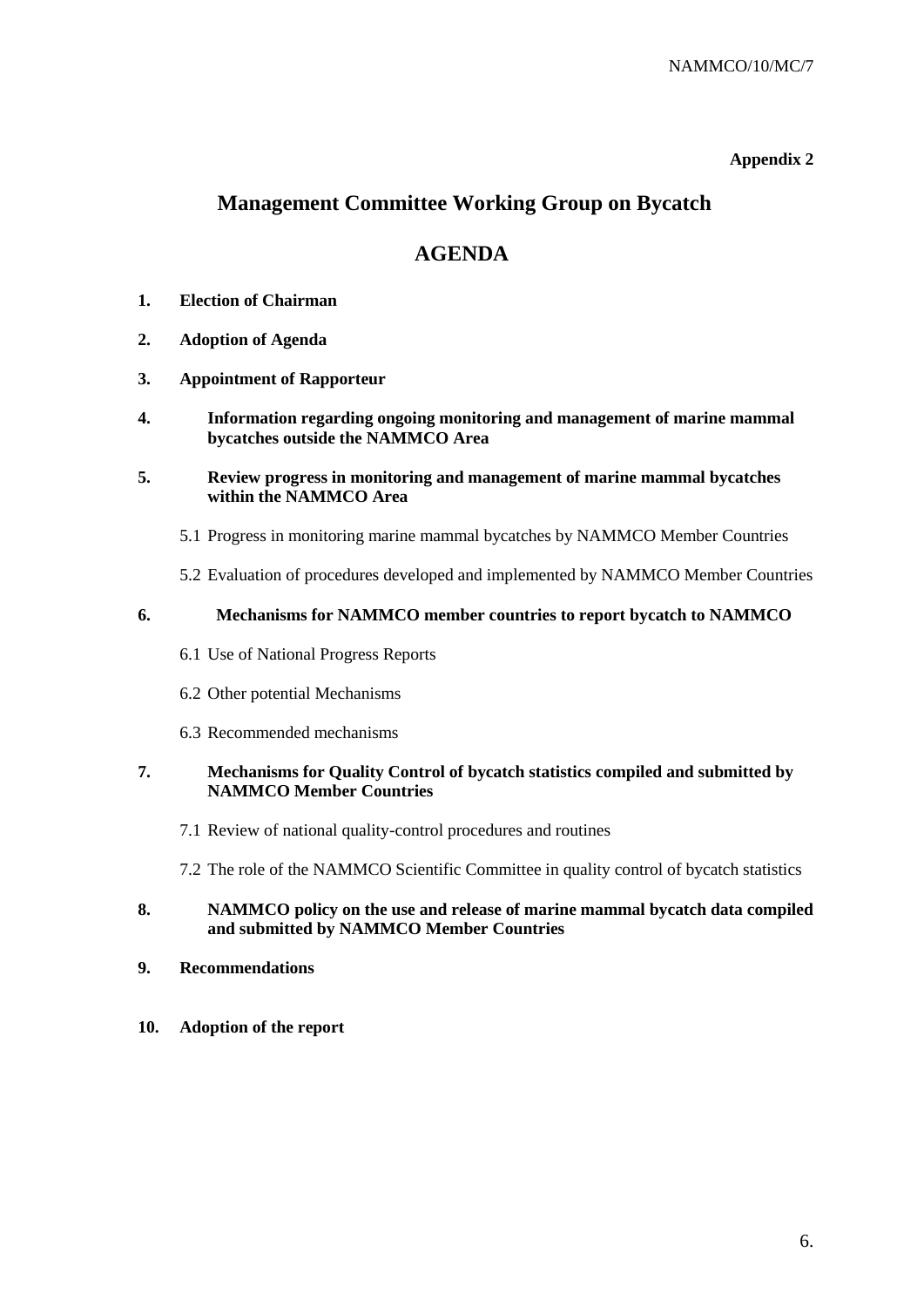### **Appendix 2**

## **Management Committee Working Group on Bycatch**

### **AGENDA**

- **1. Election of Chairman**
- **2. Adoption of Agenda**
- **3. Appointment of Rapporteur**
- **4. Information regarding ongoing monitoring and management of marine mammal bycatches outside the NAMMCO Area**
- **5. Review progress in monitoring and management of marine mammal bycatches within the NAMMCO Area**
	- 5.1 Progress in monitoring marine mammal bycatches by NAMMCO Member Countries
	- 5.2 Evaluation of procedures developed and implemented by NAMMCO Member Countries

### **6. Mechanisms for NAMMCO member countries to report bycatch to NAMMCO**

- 6.1 Use of National Progress Reports
- 6.2 Other potential Mechanisms
- 6.3 Recommended mechanisms

### **7. Mechanisms for Quality Control of bycatch statistics compiled and submitted by NAMMCO Member Countries**

- 7.1 Review of national quality-control procedures and routines
- 7.2 The role of the NAMMCO Scientific Committee in quality control of bycatch statistics

### **8. NAMMCO policy on the use and release of marine mammal bycatch data compiled and submitted by NAMMCO Member Countries**

- **9. Recommendations**
- **10. Adoption of the report**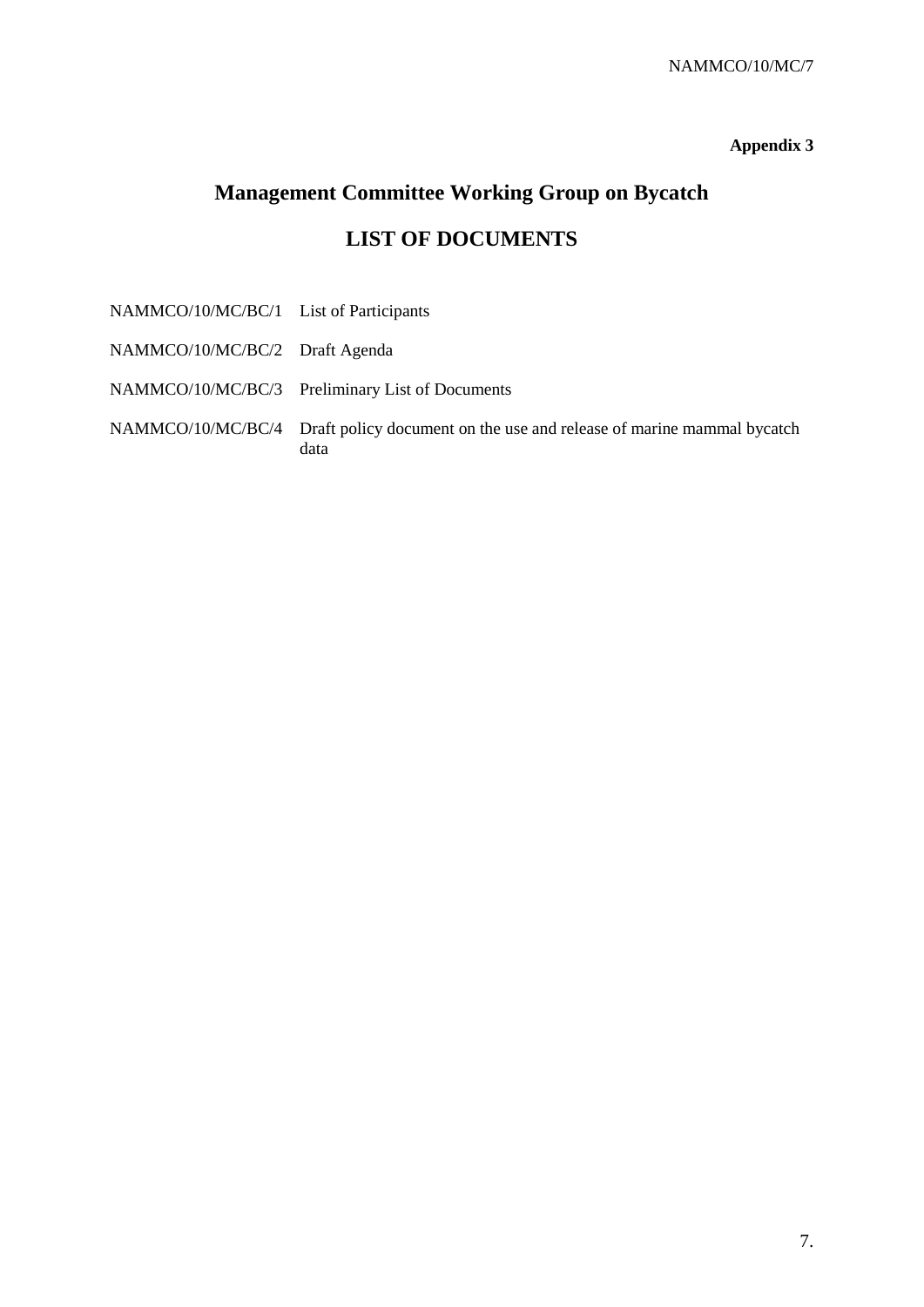### **Appendix 3**

# **Management Committee Working Group on Bycatch LIST OF DOCUMENTS**

NAMMCO/10/MC/BC/1 List of Participants NAMMCO/10/MC/BC/2 Draft Agenda NAMMCO/10/MC/BC/3 Preliminary List of Documents NAMMCO/10/MC/BC/4 Draft policy document on the use and release of marine mammal bycatch data